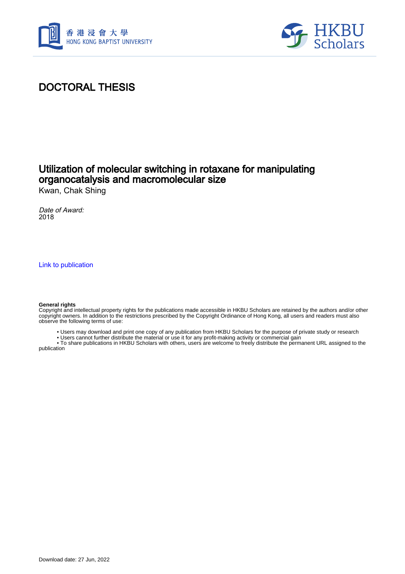



### DOCTORAL THESIS

#### Utilization of molecular switching in rotaxane for manipulating organocatalysis and macromolecular size

Kwan, Chak Shing

Date of Award: 2018

[Link to publication](https://scholars.hkbu.edu.hk/en/studentTheses/652dda95-0a3d-4ecd-8743-f3416c47e507)

#### **General rights**

Copyright and intellectual property rights for the publications made accessible in HKBU Scholars are retained by the authors and/or other copyright owners. In addition to the restrictions prescribed by the Copyright Ordinance of Hong Kong, all users and readers must also observe the following terms of use:

- Users may download and print one copy of any publication from HKBU Scholars for the purpose of private study or research
- Users cannot further distribute the material or use it for any profit-making activity or commercial gain

 • To share publications in HKBU Scholars with others, users are welcome to freely distribute the permanent URL assigned to the publication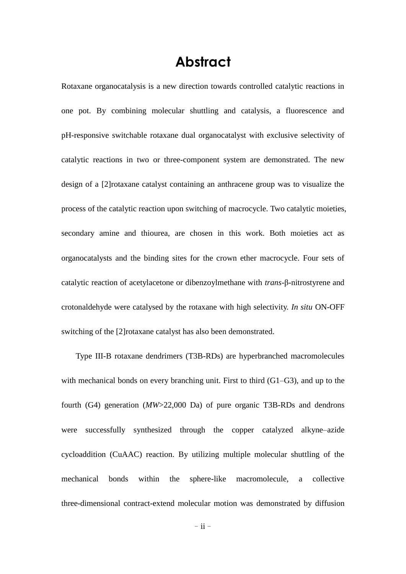# **Abstract**

Rotaxane organocatalysis is a new direction towards controlled catalytic reactions in one pot. By combining molecular shuttling and catalysis, a fluorescence and pH-responsive switchable rotaxane dual organocatalyst with exclusive selectivity of catalytic reactions in two or three-component system are demonstrated. The new design of a [2]rotaxane catalyst containing an anthracene group was to visualize the process of the catalytic reaction upon switching of macrocycle. Two catalytic moieties, secondary amine and thiourea, are chosen in this work. Both moieties act as organocatalysts and the binding sites for the crown ether macrocycle. Four sets of catalytic reaction of acetylacetone or dibenzoylmethane with *trans*-β-nitrostyrene and crotonaldehyde were catalysed by the rotaxane with high selectivity. *In situ* ON-OFF switching of the [2]rotaxane catalyst has also been demonstrated.

Type III-B rotaxane dendrimers (T3B-RDs) are hyperbranched macromolecules with mechanical bonds on every branching unit. First to third (G1–G3), and up to the fourth (G4) generation (*MW*>22,000 Da) of pure organic T3B-RDs and dendrons were successfully synthesized through the copper catalyzed alkyne–azide cycloaddition (CuAAC) reaction. By utilizing multiple molecular shuttling of the mechanical bonds within the sphere-like macromolecule, a collective three-dimensional contract-extend molecular motion was demonstrated by diffusion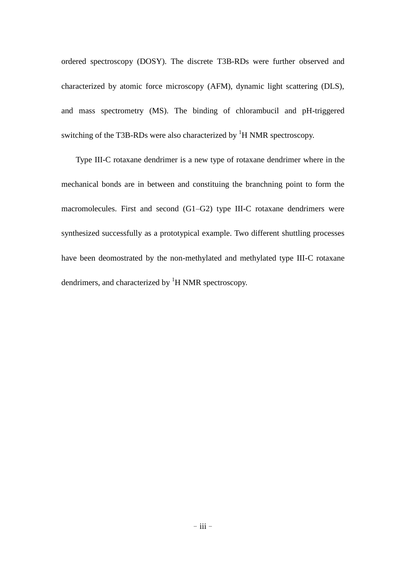ordered spectroscopy (DOSY). The discrete T3B-RDs were further observed and characterized by atomic force microscopy (AFM), dynamic light scattering (DLS), and mass spectrometry (MS). The binding of chlorambucil and pH-triggered switching of the T3B-RDs were also characterized by <sup>1</sup>H NMR spectroscopy.

Type III-C rotaxane dendrimer is a new type of rotaxane dendrimer where in the mechanical bonds are in between and constituing the branchning point to form the macromolecules. First and second (G1–G2) type III-C rotaxane dendrimers were synthesized successfully as a prototypical example. Two different shuttling processes have been deomostrated by the non-methylated and methylated type III-C rotaxane dendrimers, and characterized by  ${}^{1}$ H NMR spectroscopy.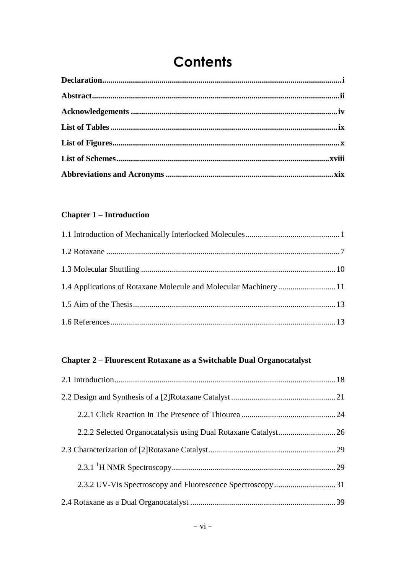# **Contents**

#### **Chapter 1 – Introduction**

| 1.4 Applications of Rotaxane Molecule and Molecular Machinery  11 |  |
|-------------------------------------------------------------------|--|
|                                                                   |  |
|                                                                   |  |

#### Chapter 2 - Fluorescent Rotaxane as a Switchable Dual Organocatalyst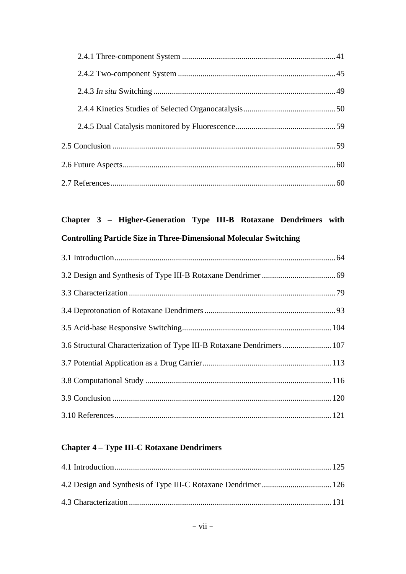## **Chapter 3 – Higher-Generation Type III-B Rotaxane Dendrimers with Controlling Particle Size in Three-Dimensional Molecular Switching**

| 3.6 Structural Characterization of Type III-B Rotaxane Dendrimers 107 |  |
|-----------------------------------------------------------------------|--|
|                                                                       |  |
|                                                                       |  |
|                                                                       |  |
|                                                                       |  |

#### **Chapter 4 – Type III-C Rotaxane Dendrimers**